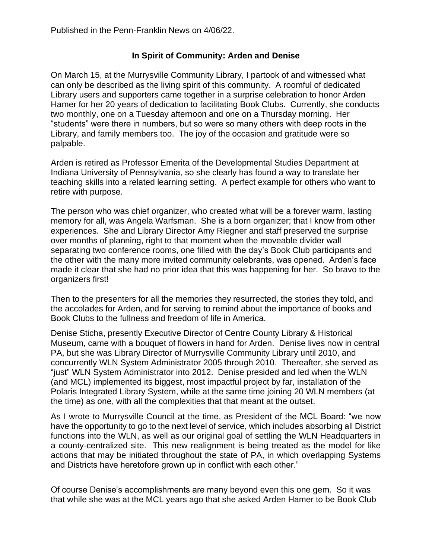## **In Spirit of Community: Arden and Denise**

On March 15, at the Murrysville Community Library, I partook of and witnessed what can only be described as the living spirit of this community. A roomful of dedicated Library users and supporters came together in a surprise celebration to honor Arden Hamer for her 20 years of dedication to facilitating Book Clubs. Currently, she conducts two monthly, one on a Tuesday afternoon and one on a Thursday morning. Her "students" were there in numbers, but so were so many others with deep roots in the Library, and family members too. The joy of the occasion and gratitude were so palpable.

Arden is retired as Professor Emerita of the Developmental Studies Department at Indiana University of Pennsylvania, so she clearly has found a way to translate her teaching skills into a related learning setting. A perfect example for others who want to retire with purpose.

The person who was chief organizer, who created what will be a forever warm, lasting memory for all, was Angela Warfsman. She is a born organizer; that I know from other experiences. She and Library Director Amy Riegner and staff preserved the surprise over months of planning, right to that moment when the moveable divider wall separating two conference rooms, one filled with the day's Book Club participants and the other with the many more invited community celebrants, was opened. Arden's face made it clear that she had no prior idea that this was happening for her. So bravo to the organizers first!

Then to the presenters for all the memories they resurrected, the stories they told, and the accolades for Arden, and for serving to remind about the importance of books and Book Clubs to the fullness and freedom of life in America.

Denise Sticha, presently Executive Director of Centre County Library & Historical Museum, came with a bouquet of flowers in hand for Arden. Denise lives now in central PA, but she was Library Director of Murrysville Community Library until 2010, and concurrently WLN System Administrator 2005 through 2010. Thereafter, she served as "just" WLN System Administrator into 2012. Denise presided and led when the WLN (and MCL) implemented its biggest, most impactful project by far, installation of the Polaris Integrated Library System, while at the same time joining 20 WLN members (at the time) as one, with all the complexities that that meant at the outset.

As I wrote to Murrysville Council at the time, as President of the MCL Board: "we now have the opportunity to go to the next level of service, which includes absorbing all District functions into the WLN, as well as our original goal of settling the WLN Headquarters in a county-centralized site. This new realignment is being treated as the model for like actions that may be initiated throughout the state of PA, in which overlapping Systems and Districts have heretofore grown up in conflict with each other."

Of course Denise's accomplishments are many beyond even this one gem. So it was that while she was at the MCL years ago that she asked Arden Hamer to be Book Club